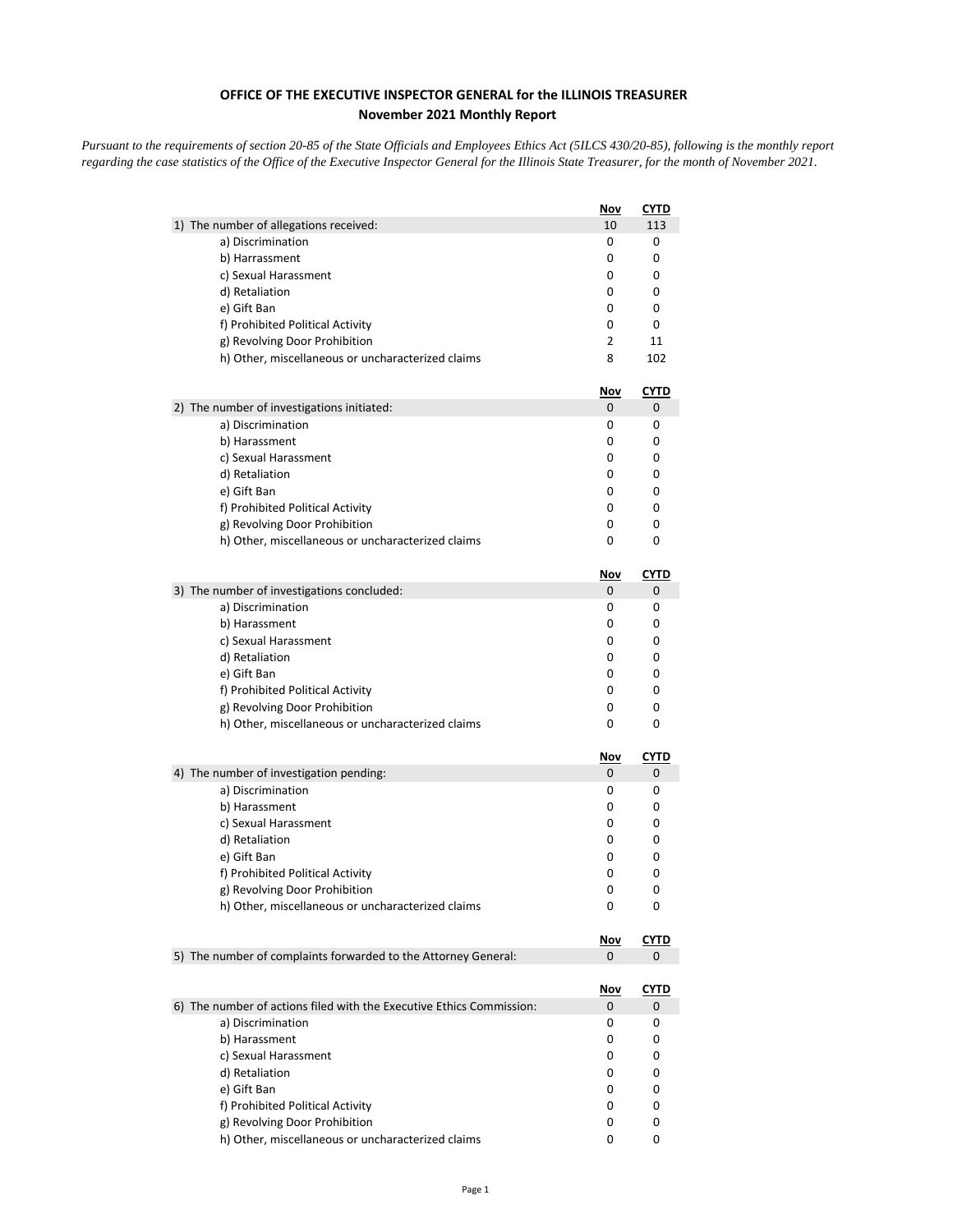## **OFFICE OF THE EXECUTIVE INSPECTOR GENERAL for the ILLINOIS TREASURER November 2021 Monthly Report**

*Pursuant to the requirements of section 20-85 of the State Officials and Employees Ethics Act (5ILCS 430/20-85), following is the monthly report regarding the case statistics of the Office of the Executive Inspector General for the Illinois State Treasurer, for the month of November 2021.* 

|                                                                      | Nov        | CYTD        |
|----------------------------------------------------------------------|------------|-------------|
| 1) The number of allegations received:                               | 10         | 113         |
| a) Discrimination                                                    | 0          | 0           |
| b) Harrassment                                                       | 0          | 0           |
| c) Sexual Harassment                                                 | 0          | 0           |
| d) Retaliation                                                       | 0          | 0           |
| e) Gift Ban                                                          | 0          | 0           |
| f) Prohibited Political Activity                                     | 0          | 0           |
| g) Revolving Door Prohibition                                        | 2          | 11          |
| h) Other, miscellaneous or uncharacterized claims                    | 8          | 102         |
|                                                                      | <u>Nov</u> | <u>CYTD</u> |
| 2) The number of investigations initiated:                           | 0          | 0           |
| a) Discrimination                                                    | 0          | 0           |
| b) Harassment                                                        | 0          | 0           |
| c) Sexual Harassment                                                 | 0          | 0           |
| d) Retaliation                                                       | 0          | 0           |
| e) Gift Ban                                                          | 0          | 0           |
| f) Prohibited Political Activity                                     | 0          | 0           |
| g) Revolving Door Prohibition                                        | 0          | 0           |
| h) Other, miscellaneous or uncharacterized claims                    | 0          | 0           |
|                                                                      | <u>Nov</u> | <b>CYTD</b> |
| 3) The number of investigations concluded:                           | 0          | 0           |
| a) Discrimination                                                    | 0          | 0           |
| b) Harassment                                                        | 0          | 0           |
| c) Sexual Harassment                                                 | 0          | 0           |
| d) Retaliation                                                       | 0          | 0           |
| e) Gift Ban                                                          | 0          | 0           |
| f) Prohibited Political Activity                                     | 0          | 0           |
| g) Revolving Door Prohibition                                        | 0          | 0           |
| h) Other, miscellaneous or uncharacterized claims                    | 0          | 0           |
|                                                                      | <u>Nov</u> | <b>CYTD</b> |
| 4) The number of investigation pending:                              | 0          | 0           |
| a) Discrimination                                                    | 0          | 0           |
| b) Harassment                                                        | 0          | 0           |
| c) Sexual Harassment                                                 | 0          | 0           |
| d) Retaliation                                                       | 0          | 0           |
| e) Gift Ban                                                          | 0          | 0           |
| f) Prohibited Political Activity                                     | 0          | 0           |
| g) Revolving Door Prohibition                                        | 0          | 0           |
| h) Other, miscellaneous or uncharacterized claims                    | 0          | 0           |
|                                                                      | <u>Nov</u> | <u>CYTD</u> |
| 5) The number of complaints forwarded to the Attorney General:       | 0          | 0           |
|                                                                      | <u>Nov</u> | <u>CYTD</u> |
| 6) The number of actions filed with the Executive Ethics Commission: | 0          | 0           |
| a) Discrimination                                                    | 0          | 0           |
| b) Harassment                                                        | 0          | 0           |
| c) Sexual Harassment                                                 | 0          | 0           |
| d) Retaliation                                                       | 0          | 0           |
| e) Gift Ban                                                          | 0          | 0           |
| f) Prohibited Political Activity                                     | 0          | 0           |
| g) Revolving Door Prohibition                                        | 0          | 0           |
| h) Other, miscellaneous or uncharacterized claims                    | 0          | 0           |